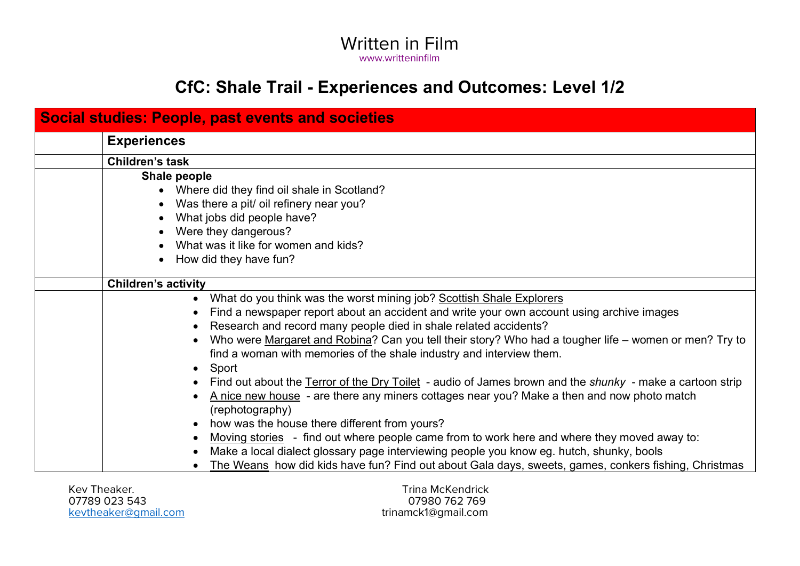# **CfC: Shale Trail - Experiences and Outcomes: Level 1/2**

| <b>Social studies: People, past events and societies</b> |                                                                                                                                                                                                                                                                                                                                                                                                                                                                                                                                                                                                                                                                                                                                                                                                                                                                                                                                                                                                                                                                                                |
|----------------------------------------------------------|------------------------------------------------------------------------------------------------------------------------------------------------------------------------------------------------------------------------------------------------------------------------------------------------------------------------------------------------------------------------------------------------------------------------------------------------------------------------------------------------------------------------------------------------------------------------------------------------------------------------------------------------------------------------------------------------------------------------------------------------------------------------------------------------------------------------------------------------------------------------------------------------------------------------------------------------------------------------------------------------------------------------------------------------------------------------------------------------|
|                                                          | <b>Experiences</b>                                                                                                                                                                                                                                                                                                                                                                                                                                                                                                                                                                                                                                                                                                                                                                                                                                                                                                                                                                                                                                                                             |
|                                                          | <b>Children's task</b>                                                                                                                                                                                                                                                                                                                                                                                                                                                                                                                                                                                                                                                                                                                                                                                                                                                                                                                                                                                                                                                                         |
|                                                          | Shale people<br>Where did they find oil shale in Scotland?<br>Was there a pit/ oil refinery near you?<br>What jobs did people have?<br>Were they dangerous?<br>What was it like for women and kids?<br>How did they have fun?                                                                                                                                                                                                                                                                                                                                                                                                                                                                                                                                                                                                                                                                                                                                                                                                                                                                  |
|                                                          | <b>Children's activity</b>                                                                                                                                                                                                                                                                                                                                                                                                                                                                                                                                                                                                                                                                                                                                                                                                                                                                                                                                                                                                                                                                     |
|                                                          | What do you think was the worst mining job? Scottish Shale Explorers<br>$\bullet$<br>Find a newspaper report about an accident and write your own account using archive images<br>$\bullet$<br>Research and record many people died in shale related accidents?<br>$\bullet$<br>Who were Margaret and Robina? Can you tell their story? Who had a tougher life – women or men? Try to<br>find a woman with memories of the shale industry and interview them.<br>Sport<br>$\bullet$<br>Find out about the Terror of the Dry Toilet - audio of James brown and the shunky - make a cartoon strip<br>A nice new house - are there any miners cottages near you? Make a then and now photo match<br>(rephotography)<br>how was the house there different from yours?<br>$\bullet$<br>Moving stories - find out where people came from to work here and where they moved away to:<br>$\bullet$<br>Make a local dialect glossary page interviewing people you know eg. hutch, shunky, bools<br>The Weans how did kids have fun? Find out about Gala days, sweets, games, conkers fishing, Christmas |

Kev Theaker. Trina McKendrick 07789 023 543 07980 762 769

trinamck1@gmail.com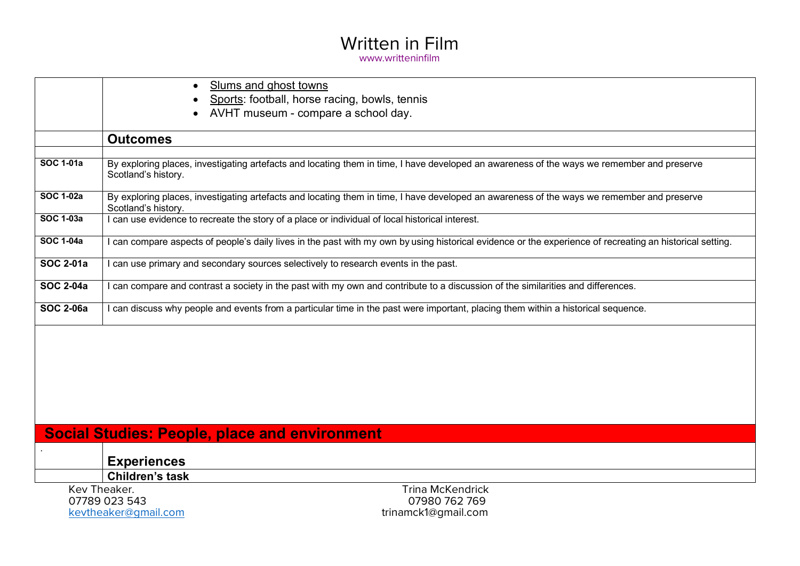|                  | Slums and ghost towns                                                                                                                                             |
|------------------|-------------------------------------------------------------------------------------------------------------------------------------------------------------------|
|                  | Sports: football, horse racing, bowls, tennis                                                                                                                     |
|                  | AVHT museum - compare a school day.                                                                                                                               |
|                  | <b>Outcomes</b>                                                                                                                                                   |
|                  |                                                                                                                                                                   |
| <b>SOC 1-01a</b> | By exploring places, investigating artefacts and locating them in time, I have developed an awareness of the ways we remember and preserve<br>Scotland's history. |
| <b>SOC 1-02a</b> | By exploring places, investigating artefacts and locating them in time, I have developed an awareness of the ways we remember and preserve<br>Scotland's history. |
| <b>SOC 1-03a</b> | I can use evidence to recreate the story of a place or individual of local historical interest.                                                                   |
| <b>SOC 1-04a</b> | I can compare aspects of people's daily lives in the past with my own by using historical evidence or the experience of recreating an historical setting.         |
| <b>SOC 2-01a</b> | I can use primary and secondary sources selectively to research events in the past.                                                                               |
| <b>SOC 2-04a</b> | I can compare and contrast a society in the past with my own and contribute to a discussion of the similarities and differences.                                  |
| <b>SOC 2-06a</b> | I can discuss why people and events from a particular time in the past were important, placing them within a historical sequence.                                 |
|                  |                                                                                                                                                                   |
|                  |                                                                                                                                                                   |
|                  |                                                                                                                                                                   |
|                  |                                                                                                                                                                   |
|                  |                                                                                                                                                                   |
|                  | <b>Social Studies: People, place and environment</b>                                                                                                              |
|                  | <b>Experiences</b>                                                                                                                                                |
|                  | <b>Children's task</b>                                                                                                                                            |
|                  | Kev Theaker.<br><b>Trina McKendrick</b>                                                                                                                           |
|                  | 07789 023 543<br>07980 762 769                                                                                                                                    |
|                  | trinamck1@gmail.com<br>kevtheaker@gmail.com                                                                                                                       |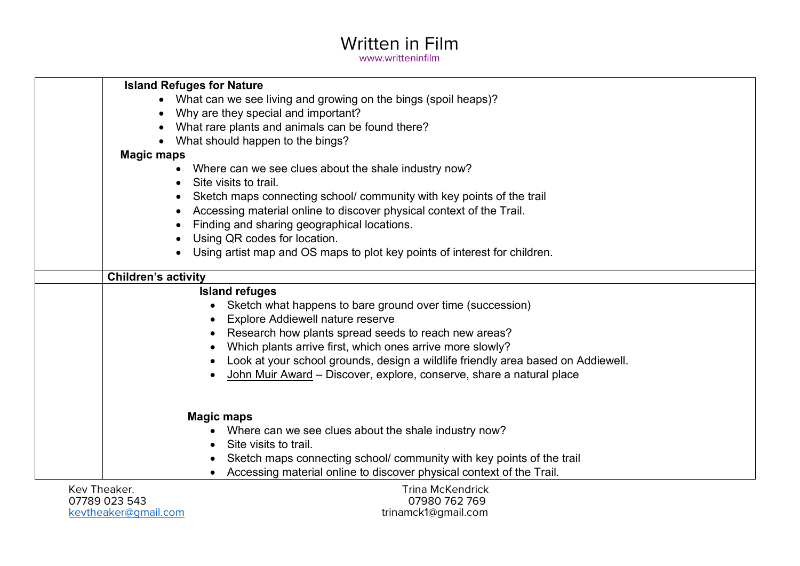| <b>Island Refuges for Nature</b>                                                 |
|----------------------------------------------------------------------------------|
| What can we see living and growing on the bings (spoil heaps)?                   |
| Why are they special and important?                                              |
| What rare plants and animals can be found there?<br>$\bullet$                    |
| What should happen to the bings?                                                 |
| <b>Magic maps</b>                                                                |
| Where can we see clues about the shale industry now?<br>$\bullet$                |
| Site visits to trail.<br>$\bullet$                                               |
| Sketch maps connecting school/community with key points of the trail             |
| Accessing material online to discover physical context of the Trail.             |
| Finding and sharing geographical locations.                                      |
| Using QR codes for location.                                                     |
| Using artist map and OS maps to plot key points of interest for children.        |
|                                                                                  |
| <b>Children's activity</b>                                                       |
| <b>Island refuges</b>                                                            |
| Sketch what happens to bare ground over time (succession)                        |
| <b>Explore Addiewell nature reserve</b><br>$\bullet$                             |
| Research how plants spread seeds to reach new areas?                             |
| Which plants arrive first, which ones arrive more slowly?                        |
| Look at your school grounds, design a wildlife friendly area based on Addiewell. |
| John Muir Award – Discover, explore, conserve, share a natural place             |
|                                                                                  |
|                                                                                  |
| <b>Magic maps</b>                                                                |
| Where can we see clues about the shale industry now?                             |
| Site visits to trail.                                                            |
| Sketch maps connecting school/community with key points of the trail             |
| Accessing material online to discover physical context of the Trail.             |
| Kev Theaker.<br><b>Trina McKendrick</b>                                          |
| רו ז ררח חסדדה<br><u>AJAQA 769 760</u>                                           |

07789 023 543 07980 762 769 kevtheaker@gmail.com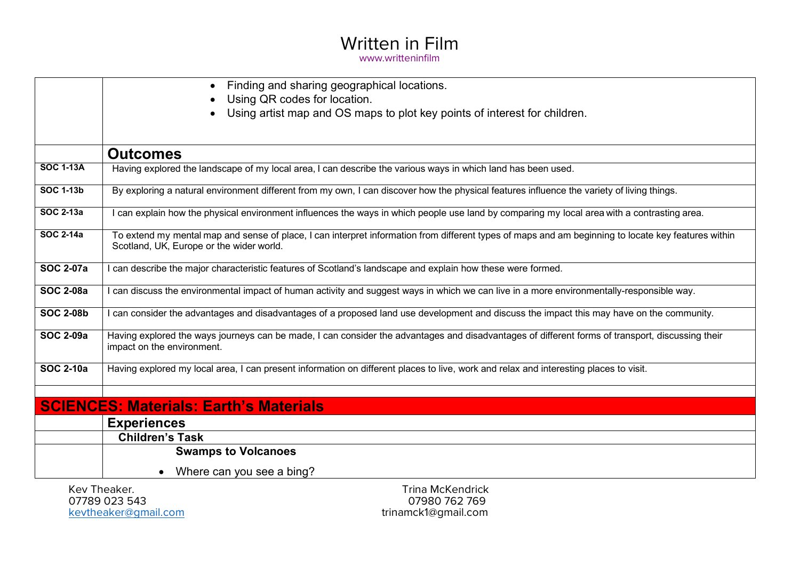|                  | Finding and sharing geographical locations.<br>$\bullet$                                                                                                                                        |
|------------------|-------------------------------------------------------------------------------------------------------------------------------------------------------------------------------------------------|
|                  | Using QR codes for location.                                                                                                                                                                    |
|                  | Using artist map and OS maps to plot key points of interest for children.                                                                                                                       |
|                  |                                                                                                                                                                                                 |
|                  | <b>Outcomes</b>                                                                                                                                                                                 |
| <b>SOC 1-13A</b> | Having explored the landscape of my local area, I can describe the various ways in which land has been used.                                                                                    |
| <b>SOC 1-13b</b> | By exploring a natural environment different from my own, I can discover how the physical features influence the variety of living things.                                                      |
| <b>SOC 2-13a</b> | can explain how the physical environment influences the ways in which people use land by comparing my local area with a contrasting area.                                                       |
| <b>SOC 2-14a</b> | To extend my mental map and sense of place, I can interpret information from different types of maps and am beginning to locate key features within<br>Scotland, UK, Europe or the wider world. |
| <b>SOC 2-07a</b> | I can describe the major characteristic features of Scotland's landscape and explain how these were formed.                                                                                     |
| <b>SOC 2-08a</b> | I can discuss the environmental impact of human activity and suggest ways in which we can live in a more environmentally-responsible way.                                                       |
| <b>SOC 2-08b</b> | I can consider the advantages and disadvantages of a proposed land use development and discuss the impact this may have on the community.                                                       |
| <b>SOC 2-09a</b> | Having explored the ways journeys can be made, I can consider the advantages and disadvantages of different forms of transport, discussing their<br>impact on the environment.                  |
| <b>SOC 2-10a</b> | Having explored my local area, I can present information on different places to live, work and relax and interesting places to visit.                                                           |
|                  | <b>SCIENCES: Materials: Earth's Materials</b>                                                                                                                                                   |
|                  | <b>Experiences</b>                                                                                                                                                                              |
|                  | <b>Children's Task</b>                                                                                                                                                                          |
|                  | <b>Swamps to Volcanoes</b>                                                                                                                                                                      |
|                  | Where can you see a bing?                                                                                                                                                                       |
|                  | Kev Theaker.<br><b>Trina McKendrick</b><br>07789 023 543<br>07980 762 769                                                                                                                       |
|                  | trinamck1@gmail.com<br>kevtheaker@qmail.com                                                                                                                                                     |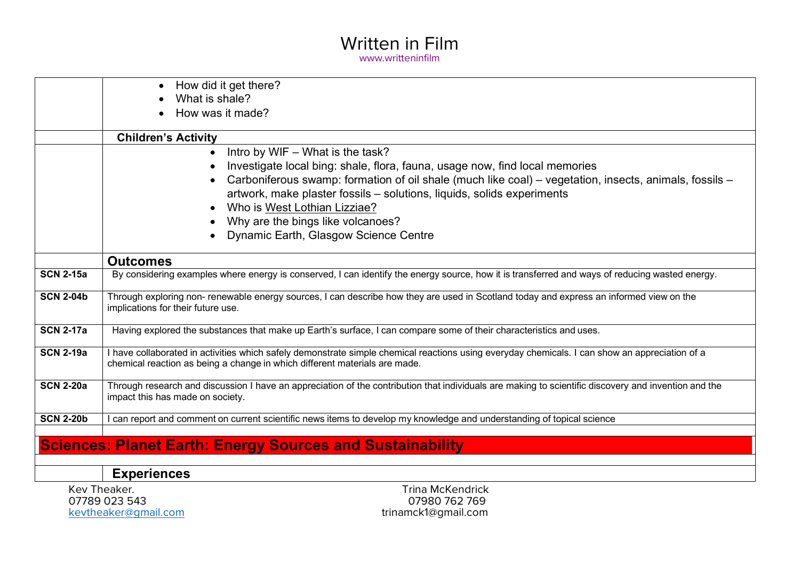|                  | How did it get there?                                                                                                                                                                                                                                                                                                                                                                                                          |
|------------------|--------------------------------------------------------------------------------------------------------------------------------------------------------------------------------------------------------------------------------------------------------------------------------------------------------------------------------------------------------------------------------------------------------------------------------|
|                  | What is shale?                                                                                                                                                                                                                                                                                                                                                                                                                 |
|                  | How was it made?                                                                                                                                                                                                                                                                                                                                                                                                               |
|                  | <b>Children's Activity</b>                                                                                                                                                                                                                                                                                                                                                                                                     |
|                  | Intro by WIF - What is the task?<br>$\bullet$<br>Investigate local bing: shale, flora, fauna, usage now, find local memories<br>Carboniferous swamp: formation of oil shale (much like coal) – vegetation, insects, animals, fossils –<br>artwork, make plaster fossils - solutions, liquids, solids experiments<br>Who is West Lothian Lizziae?<br>Why are the bings like volcanoes?<br>Dynamic Earth, Glasgow Science Centre |
|                  | <b>Outcomes</b>                                                                                                                                                                                                                                                                                                                                                                                                                |
| <b>SCN 2-15a</b> | By considering examples where energy is conserved, I can identify the energy source, how it is transferred and ways of reducing wasted energy.                                                                                                                                                                                                                                                                                 |
| <b>SCN 2-04b</b> | Through exploring non- renewable energy sources, I can describe how they are used in Scotland today and express an informed view on the<br>implications for their future use.                                                                                                                                                                                                                                                  |
| <b>SCN 2-17a</b> | Having explored the substances that make up Earth's surface, I can compare some of their characteristics and uses.                                                                                                                                                                                                                                                                                                             |
| <b>SCN 2-19a</b> | I have collaborated in activities which safely demonstrate simple chemical reactions using everyday chemicals. I can show an appreciation of a<br>chemical reaction as being a change in which different materials are made.                                                                                                                                                                                                   |
| <b>SCN 2-20a</b> | Through research and discussion I have an appreciation of the contribution that individuals are making to scientific discovery and invention and the<br>impact this has made on society.                                                                                                                                                                                                                                       |
| <b>SCN 2-20b</b> | can report and comment on current scientific news items to develop my knowledge and understanding of topical science                                                                                                                                                                                                                                                                                                           |
|                  |                                                                                                                                                                                                                                                                                                                                                                                                                                |
|                  | <b>Sciences: Planet Earth: Energy Sources and Sustainability</b>                                                                                                                                                                                                                                                                                                                                                               |
|                  |                                                                                                                                                                                                                                                                                                                                                                                                                                |
|                  | <b>Experiences</b>                                                                                                                                                                                                                                                                                                                                                                                                             |

kevtheaker@gmail.com

Kev Theaker. Trina McKendrick 07980 762 769<br>trinamck1@gmail.com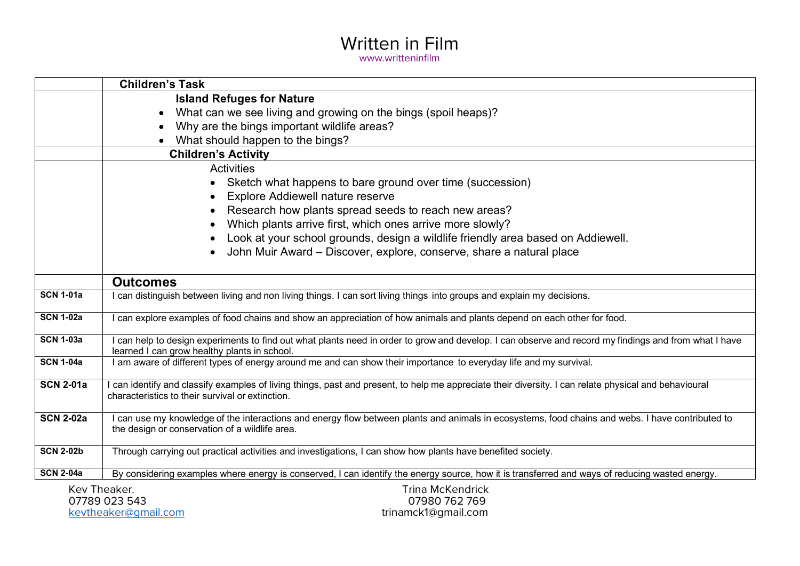|                  | <b>Children's Task</b>                                                                                                                                                                                    |
|------------------|-----------------------------------------------------------------------------------------------------------------------------------------------------------------------------------------------------------|
|                  | <b>Island Refuges for Nature</b>                                                                                                                                                                          |
|                  | What can we see living and growing on the bings (spoil heaps)?                                                                                                                                            |
|                  | Why are the bings important wildlife areas?                                                                                                                                                               |
|                  | What should happen to the bings?                                                                                                                                                                          |
|                  | <b>Children's Activity</b>                                                                                                                                                                                |
|                  | <b>Activities</b>                                                                                                                                                                                         |
|                  | Sketch what happens to bare ground over time (succession)                                                                                                                                                 |
|                  | <b>Explore Addiewell nature reserve</b><br>$\bullet$                                                                                                                                                      |
|                  | Research how plants spread seeds to reach new areas?                                                                                                                                                      |
|                  | Which plants arrive first, which ones arrive more slowly?                                                                                                                                                 |
|                  | Look at your school grounds, design a wildlife friendly area based on Addiewell.                                                                                                                          |
|                  | John Muir Award - Discover, explore, conserve, share a natural place                                                                                                                                      |
|                  |                                                                                                                                                                                                           |
|                  | <b>Outcomes</b>                                                                                                                                                                                           |
| <b>SCN 1-01a</b> | I can distinguish between living and non living things. I can sort living things into groups and explain my decisions.                                                                                    |
| <b>SCN 1-02a</b> | can explore examples of food chains and show an appreciation of how animals and plants depend on each other for food.                                                                                     |
| <b>SCN 1-03a</b> | I can help to design experiments to find out what plants need in order to grow and develop. I can observe and record my findings and from what I have<br>learned I can grow healthy plants in school.     |
| <b>SCN 1-04a</b> | I am aware of different types of energy around me and can show their importance to everyday life and my survival.                                                                                         |
| <b>SCN 2-01a</b> | I can identify and classify examples of living things, past and present, to help me appreciate their diversity. I can relate physical and behavioural<br>characteristics to their survival or extinction. |
| <b>SCN 2-02a</b> | I can use my knowledge of the interactions and energy flow between plants and animals in ecosystems, food chains and webs. I have contributed to<br>the design or conservation of a wildlife area.        |
| <b>SCN 2-02b</b> | Through carrying out practical activities and investigations, I can show how plants have benefited society.                                                                                               |
| <b>SCN 2-04a</b> | By considering examples where energy is conserved, I can identify the energy source, how it is transferred and ways of reducing wasted energy.                                                            |
|                  | <b>Trina McKendrick</b><br>Kev Theaker.                                                                                                                                                                   |
|                  | 07789 023 543<br>07980 762 769                                                                                                                                                                            |
|                  | trinamck1@gmail.com<br>kevtheaker@qmail.com                                                                                                                                                               |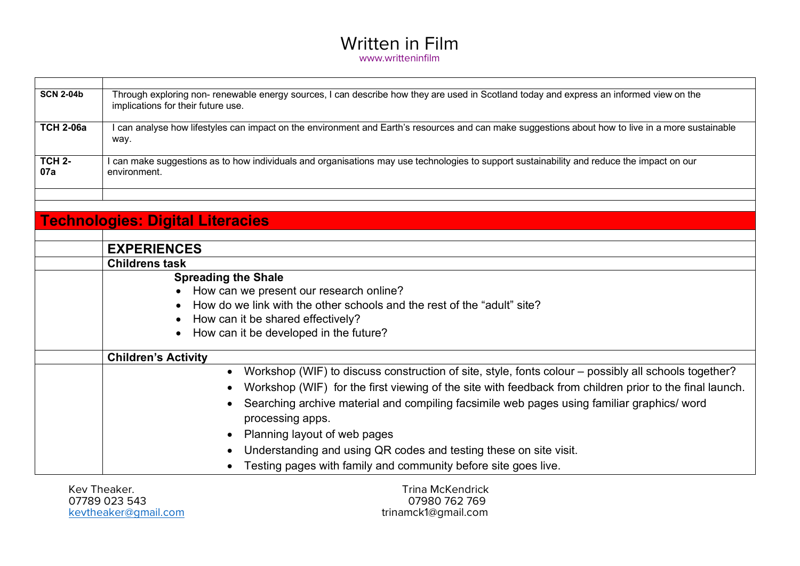| <b>SCN 2-04b</b>     | Through exploring non- renewable energy sources, I can describe how they are used in Scotland today and express an informed view on the<br>implications for their future use. |
|----------------------|-------------------------------------------------------------------------------------------------------------------------------------------------------------------------------|
| <b>TCH 2-06a</b>     | I can analyse how lifestyles can impact on the environment and Earth's resources and can make suggestions about how to live in a more sustainable<br>way.                     |
| <b>TCH 2-</b><br>07a | I can make suggestions as to how individuals and organisations may use technologies to support sustainability and reduce the impact on our<br>environment.                    |
|                      |                                                                                                                                                                               |
|                      | <b>Technologies: Digital Literacies</b>                                                                                                                                       |
|                      |                                                                                                                                                                               |
|                      | <b>EXPERIENCES</b>                                                                                                                                                            |
|                      | <b>Childrens task</b>                                                                                                                                                         |
|                      | <b>Spreading the Shale</b>                                                                                                                                                    |
|                      | How can we present our research online?                                                                                                                                       |
|                      | How do we link with the other schools and the rest of the "adult" site?                                                                                                       |
|                      | How can it be shared effectively?                                                                                                                                             |
|                      | How can it be developed in the future?                                                                                                                                        |
|                      | <b>Children's Activity</b>                                                                                                                                                    |
|                      | Workshop (WIF) to discuss construction of site, style, fonts colour – possibly all schools together?<br>$\bullet$                                                             |
|                      | Workshop (WIF) for the first viewing of the site with feedback from children prior to the final launch.                                                                       |
|                      | Searching archive material and compiling facsimile web pages using familiar graphics/ word                                                                                    |
|                      | processing apps.                                                                                                                                                              |
|                      | Planning layout of web pages                                                                                                                                                  |
|                      |                                                                                                                                                                               |
|                      | Understanding and using QR codes and testing these on site visit.                                                                                                             |
|                      | Testing pages with family and community before site goes live.                                                                                                                |
|                      | Kev Theaker.<br><b>Trina McKendrick</b>                                                                                                                                       |

07789 023 543 07980 762 769 kevtheaker@gmail.com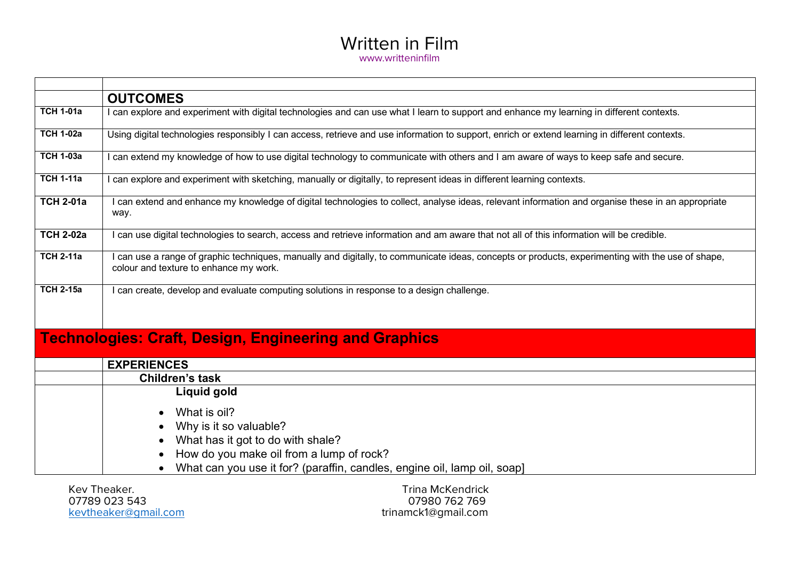|                  | <b>OUTCOMES</b>                                                                                                                                                                           |
|------------------|-------------------------------------------------------------------------------------------------------------------------------------------------------------------------------------------|
| <b>TCH 1-01a</b> | can explore and experiment with digital technologies and can use what I learn to support and enhance my learning in different contexts.                                                   |
| <b>TCH 1-02a</b> | Using digital technologies responsibly I can access, retrieve and use information to support, enrich or extend learning in different contexts.                                            |
| <b>TCH 1-03a</b> | can extend my knowledge of how to use digital technology to communicate with others and I am aware of ways to keep safe and secure.                                                       |
| <b>TCH 1-11a</b> | can explore and experiment with sketching, manually or digitally, to represent ideas in different learning contexts.                                                                      |
| <b>TCH 2-01a</b> | can extend and enhance my knowledge of digital technologies to collect, analyse ideas, relevant information and organise these in an appropriate<br>way.                                  |
| <b>TCH 2-02a</b> | can use digital technologies to search, access and retrieve information and am aware that not all of this information will be credible.                                                   |
| <b>TCH 2-11a</b> | can use a range of graphic techniques, manually and digitally, to communicate ideas, concepts or products, experimenting with the use of shape,<br>colour and texture to enhance my work. |
| <b>TCH 2-15a</b> | can create, develop and evaluate computing solutions in response to a design challenge.                                                                                                   |
|                  | <b>Technologies: Craft, Design, Engineering and Graphics</b>                                                                                                                              |
|                  | <b>EXPERIENCES</b>                                                                                                                                                                        |
|                  | <b>Children's task</b>                                                                                                                                                                    |
|                  | Liquid gold                                                                                                                                                                               |
|                  | What is oil?<br>Why is it so valuable?                                                                                                                                                    |

- What has it got to do with shale?
- How do you make oil from a lump of rock?
- What can you use it for? (paraffin, candles, engine oil, lamp oil, soap]

07789 023 543 07980 762 769

Kev Theaker.<br>1992 - Trina McKendrick (1993)<br>1992 - Trina McKendrick (1998) trinamck1@gmail.com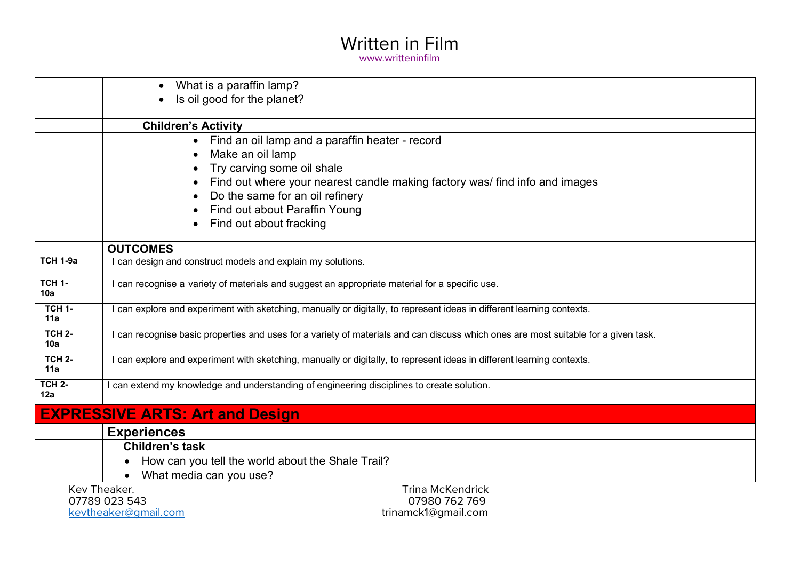|                      | What is a paraffin lamp?                                                                                                          |
|----------------------|-----------------------------------------------------------------------------------------------------------------------------------|
|                      | Is oil good for the planet?                                                                                                       |
|                      |                                                                                                                                   |
|                      | <b>Children's Activity</b>                                                                                                        |
|                      | Find an oil lamp and a paraffin heater - record                                                                                   |
|                      | Make an oil lamp                                                                                                                  |
|                      | Try carving some oil shale                                                                                                        |
|                      | Find out where your nearest candle making factory was/ find info and images                                                       |
|                      | Do the same for an oil refinery                                                                                                   |
|                      | Find out about Paraffin Young                                                                                                     |
|                      | Find out about fracking                                                                                                           |
|                      | <b>OUTCOMES</b>                                                                                                                   |
| <b>TCH 1-9a</b>      | can design and construct models and explain my solutions.                                                                         |
| <b>TCH 1-</b><br>10a | can recognise a variety of materials and suggest an appropriate material for a specific use.                                      |
| <b>TCH 1-</b><br>11a | can explore and experiment with sketching, manually or digitally, to represent ideas in different learning contexts.              |
| <b>TCH 2-</b><br>10a | can recognise basic properties and uses for a variety of materials and can discuss which ones are most suitable for a given task. |
| <b>TCH 2-</b><br>11a | can explore and experiment with sketching, manually or digitally, to represent ideas in different learning contexts.              |
| <b>TCH 2-</b><br>12a | can extend my knowledge and understanding of engineering disciplines to create solution.                                          |
|                      | <b>EXPRESSIVE ARTS: Art and Design</b>                                                                                            |
|                      | <b>Experiences</b>                                                                                                                |
|                      | <b>Children's task</b>                                                                                                            |
|                      | How can you tell the world about the Shale Trail?                                                                                 |
|                      | What media can you use?<br>$\bullet$                                                                                              |
|                      | Kev Theaker.<br><b>Trina McKendrick</b>                                                                                           |
|                      | 07789 023 543<br>07980 762 769                                                                                                    |
|                      | trinamck1@gmail.com<br>kevtheaker@qmail.com                                                                                       |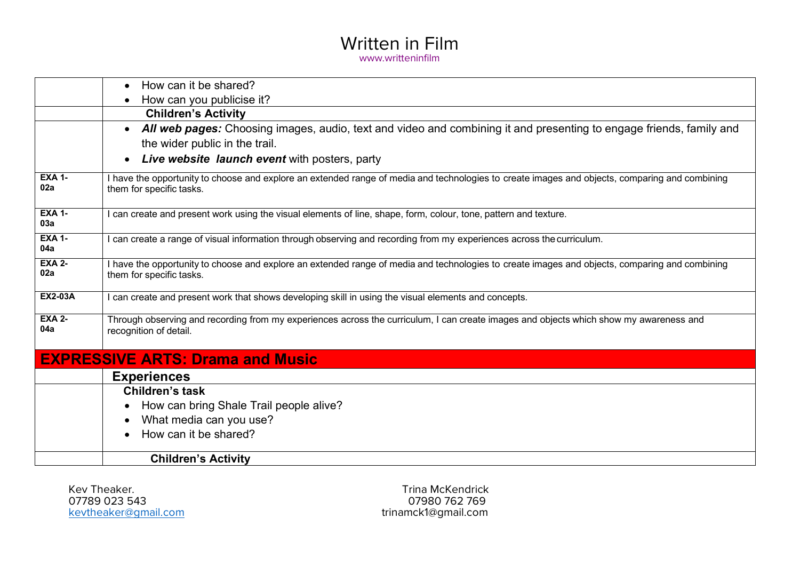|                      | How can it be shared?<br>$\bullet$                                                                                                                                         |
|----------------------|----------------------------------------------------------------------------------------------------------------------------------------------------------------------------|
|                      | How can you publicise it?<br>$\bullet$                                                                                                                                     |
|                      | <b>Children's Activity</b>                                                                                                                                                 |
|                      | All web pages: Choosing images, audio, text and video and combining it and presenting to engage friends, family and<br>$\bullet$                                           |
|                      | the wider public in the trail.                                                                                                                                             |
|                      | Live website launch event with posters, party<br>$\bullet$                                                                                                                 |
| <b>EXA 1-</b><br>02a | I have the opportunity to choose and explore an extended range of media and technologies to create images and objects, comparing and combining<br>them for specific tasks. |
| <b>EXA 1-</b><br>03a | can create and present work using the visual elements of line, shape, form, colour, tone, pattern and texture.                                                             |
| <b>EXA 1-</b><br>04a | can create a range of visual information through observing and recording from my experiences across the curriculum.                                                        |
| <b>EXA 2-</b><br>02a | I have the opportunity to choose and explore an extended range of media and technologies to create images and objects, comparing and combining<br>them for specific tasks. |
| <b>EX2-03A</b>       | can create and present work that shows developing skill in using the visual elements and concepts.                                                                         |
| <b>EXA 2-</b><br>04a | Through observing and recording from my experiences across the curriculum, I can create images and objects which show my awareness and<br>recognition of detail.           |
|                      | <b>EXPRESSIVE ARTS: Drama and Music</b>                                                                                                                                    |
|                      | <b>Experiences</b>                                                                                                                                                         |
|                      | <b>Children's task</b>                                                                                                                                                     |
|                      | How can bring Shale Trail people alive?<br>$\bullet$                                                                                                                       |
|                      | What media can you use?<br>$\bullet$                                                                                                                                       |
|                      | How can it be shared?                                                                                                                                                      |
|                      | <b>Children's Activity</b>                                                                                                                                                 |

Kev Theaker. Trina McKendrick kevtheaker@gmail.com

07980 762 769<br>trinamck1@gmail.com